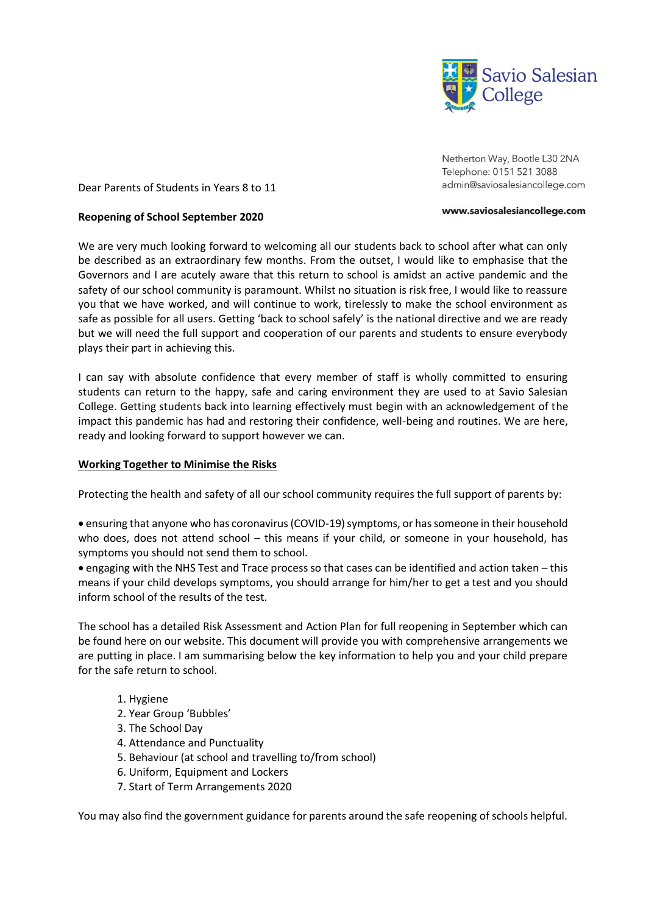

Netherton Way, Bootle L30 2NA Telephone: 0151 521 3088 admin@saviosalesiancollege.com

#### Dear Parents of Students in Years 8 to 11

#### **Reopening of School September 2020**

We are very much looking forward to welcoming all our students back to school after what can only be described as an extraordinary few months. From the outset, I would like to emphasise that the Governors and I are acutely aware that this return to school is amidst an active pandemic and the safety of our school community is paramount. Whilst no situation is risk free, I would like to reassure you that we have worked, and will continue to work, tirelessly to make the school environment as safe as possible for all users. Getting 'back to school safely' is the national directive and we are ready but we will need the full support and cooperation of our parents and students to ensure everybody plays their part in achieving this.

I can say with absolute confidence that every member of staff is wholly committed to ensuring students can return to the happy, safe and caring environment they are used to at Savio Salesian College. Getting students back into learning effectively must begin with an acknowledgement of the impact this pandemic has had and restoring their confidence, well-being and routines. We are here, ready and looking forward to support however we can.

## **Working Together to Minimise the Risks**

Protecting the health and safety of all our school community requires the full support of parents by:

• ensuring that anyone who has coronavirus (COVID-19) symptoms, or has someone in their household who does, does not attend school – this means if your child, or someone in your household, has symptoms you should not send them to school.

• engaging with the NHS Test and Trace process so that cases can be identified and action taken – this means if your child develops symptoms, you should arrange for him/her to get a test and you should inform school of the results of the test.

The school has a detailed Risk Assessment and Action Plan for full reopening in September which can be found here on our website. This document will provide you with comprehensive arrangements we are putting in place. I am summarising below the key information to help you and your child prepare for the safe return to school.

## 1. Hygiene

- 2. Year Group 'Bubbles'
- 3. The School Day
- 4. Attendance and Punctuality
- 5. Behaviour (at school and travelling to/from school)
- 6. Uniform, Equipment and Lockers
- 7. Start of Term Arrangements 2020

You may also find the government guidance for parents around the safe reopening of schools helpful.

#### www.saviosalesiancollege.com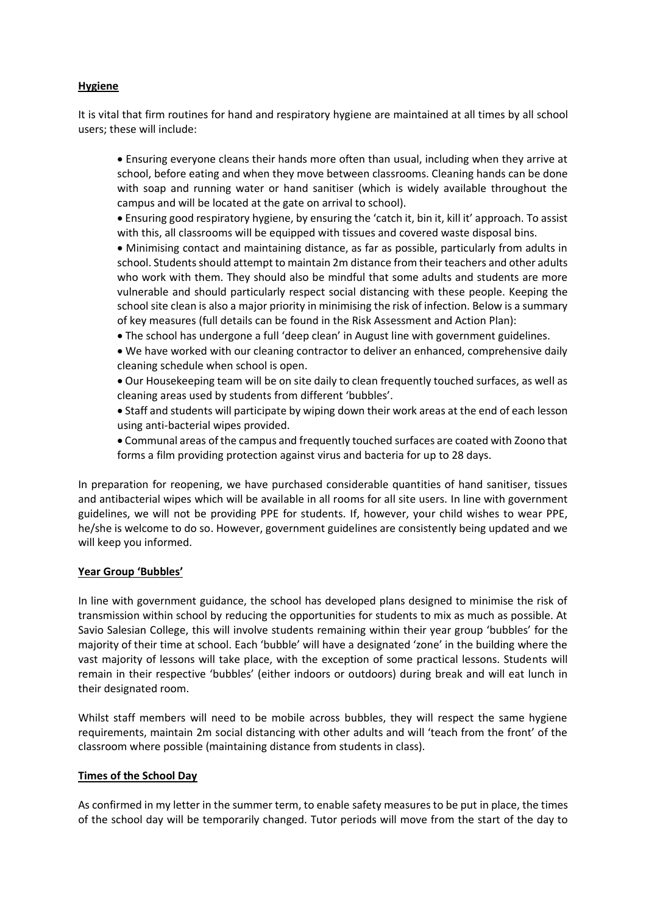# **Hygiene**

It is vital that firm routines for hand and respiratory hygiene are maintained at all times by all school users; these will include:

• Ensuring everyone cleans their hands more often than usual, including when they arrive at school, before eating and when they move between classrooms. Cleaning hands can be done with soap and running water or hand sanitiser (which is widely available throughout the campus and will be located at the gate on arrival to school).

• Ensuring good respiratory hygiene, by ensuring the 'catch it, bin it, kill it' approach. To assist with this, all classrooms will be equipped with tissues and covered waste disposal bins.

• Minimising contact and maintaining distance, as far as possible, particularly from adults in school. Students should attempt to maintain 2m distance from their teachers and other adults who work with them. They should also be mindful that some adults and students are more vulnerable and should particularly respect social distancing with these people. Keeping the school site clean is also a major priority in minimising the risk of infection. Below is a summary of key measures (full details can be found in the Risk Assessment and Action Plan):

• The school has undergone a full 'deep clean' in August line with government guidelines.

• We have worked with our cleaning contractor to deliver an enhanced, comprehensive daily cleaning schedule when school is open.

• Our Housekeeping team will be on site daily to clean frequently touched surfaces, as well as cleaning areas used by students from different 'bubbles'.

• Staff and students will participate by wiping down their work areas at the end of each lesson using anti-bacterial wipes provided.

• Communal areas of the campus and frequently touched surfaces are coated with Zoono that forms a film providing protection against virus and bacteria for up to 28 days.

In preparation for reopening, we have purchased considerable quantities of hand sanitiser, tissues and antibacterial wipes which will be available in all rooms for all site users. In line with government guidelines, we will not be providing PPE for students. If, however, your child wishes to wear PPE, he/she is welcome to do so. However, government guidelines are consistently being updated and we will keep you informed.

## **Year Group 'Bubbles'**

In line with government guidance, the school has developed plans designed to minimise the risk of transmission within school by reducing the opportunities for students to mix as much as possible. At Savio Salesian College, this will involve students remaining within their year group 'bubbles' for the majority of their time at school. Each 'bubble' will have a designated 'zone' in the building where the vast majority of lessons will take place, with the exception of some practical lessons. Students will remain in their respective 'bubbles' (either indoors or outdoors) during break and will eat lunch in their designated room.

Whilst staff members will need to be mobile across bubbles, they will respect the same hygiene requirements, maintain 2m social distancing with other adults and will 'teach from the front' of the classroom where possible (maintaining distance from students in class).

## **Times of the School Day**

As confirmed in my letter in the summer term, to enable safety measures to be put in place, the times of the school day will be temporarily changed. Tutor periods will move from the start of the day to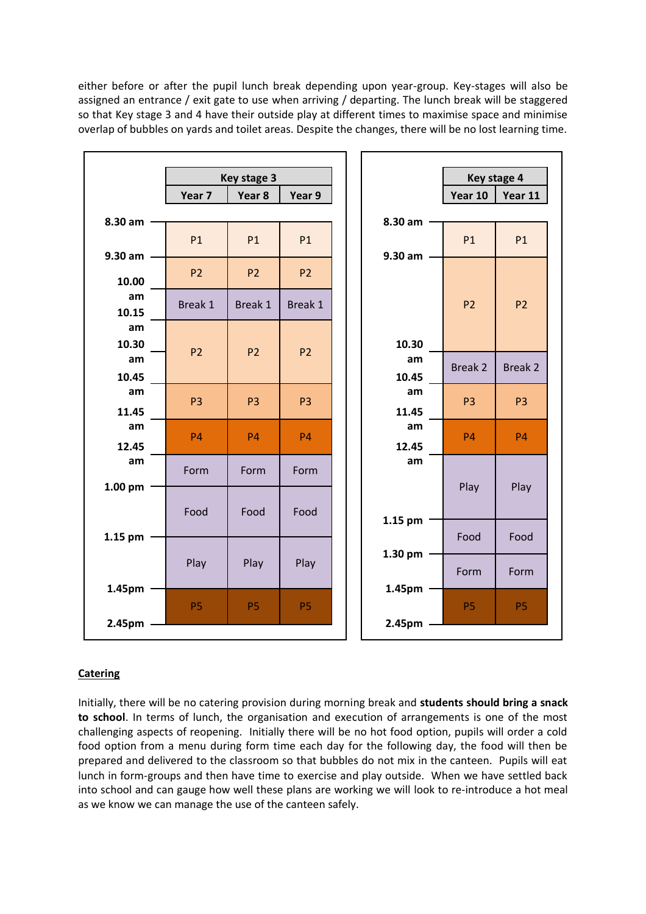either before or after the pupil lunch break depending upon year-group. Key-stages will also be assigned an entrance / exit gate to use when arriving / departing. The lunch break will be staggered so that Key stage 3 and 4 have their outside play at different times to maximise space and minimise overlap of bubbles on yards and toilet areas. Despite the changes, there will be no lost learning time.

|             | Key stage 3       |                   |                |  | Key stage 4       |                |                |
|-------------|-------------------|-------------------|----------------|--|-------------------|----------------|----------------|
|             | Year <sub>7</sub> | Year <sub>8</sub> | Year 9         |  |                   | Year 10        | Year 11        |
| 8.30 am     |                   |                   |                |  | 8.30 am           |                |                |
|             | P1                | <b>P1</b>         | P1             |  |                   | P1             | P1             |
| 9.30 am     |                   |                   |                |  | 9.30 am           |                |                |
| 10.00       | P <sub>2</sub>    | P <sub>2</sub>    | P <sub>2</sub> |  |                   |                |                |
| am          | Break 1           | Break 1           | Break 1        |  |                   | P <sub>2</sub> | P <sub>2</sub> |
| 10.15       |                   |                   |                |  |                   |                |                |
| am<br>10.30 |                   |                   |                |  | 10.30             |                |                |
| am          | P <sub>2</sub>    | P <sub>2</sub>    | P <sub>2</sub> |  | am                |                |                |
| 10.45       |                   |                   |                |  | 10.45             | Break 2        | <b>Break 2</b> |
| am          | P <sub>3</sub>    | P <sub>3</sub>    | P <sub>3</sub> |  | am                | P <sub>3</sub> | P <sub>3</sub> |
| 11.45       |                   |                   |                |  | 11.45             |                |                |
| am          | <b>P4</b>         | <b>P4</b>         | <b>P4</b>      |  | am                | <b>P4</b>      | <b>P4</b>      |
| 12.45<br>am |                   |                   |                |  | 12.45<br>am       |                |                |
|             | Form              | Form              | Form           |  |                   |                |                |
| 1.00 pm     |                   |                   |                |  |                   | Play           | Play           |
|             | Food              | Food              | Food           |  | 1.15 pm           |                |                |
| 1.15 pm     |                   |                   |                |  |                   | Food           | Food           |
|             |                   |                   |                |  | $1.30 \text{ pm}$ |                |                |
|             | Play              | Play              | Play           |  |                   | Form           | Form           |
| 1.45pm      |                   |                   |                |  | 1.45pm            |                |                |
|             | <b>P5</b>         | <b>P5</b>         | <b>P5</b>      |  |                   | <b>P5</b>      | P <sub>5</sub> |
| 2.45pm      |                   |                   |                |  | 2.45pm            |                |                |

# **Catering**

Initially, there will be no catering provision during morning break and **students should bring a snack to school**. In terms of lunch, the organisation and execution of arrangements is one of the most challenging aspects of reopening. Initially there will be no hot food option, pupils will order a cold food option from a menu during form time each day for the following day, the food will then be prepared and delivered to the classroom so that bubbles do not mix in the canteen. Pupils will eat lunch in form-groups and then have time to exercise and play outside. When we have settled back into school and can gauge how well these plans are working we will look to re-introduce a hot meal as we know we can manage the use of the canteen safely.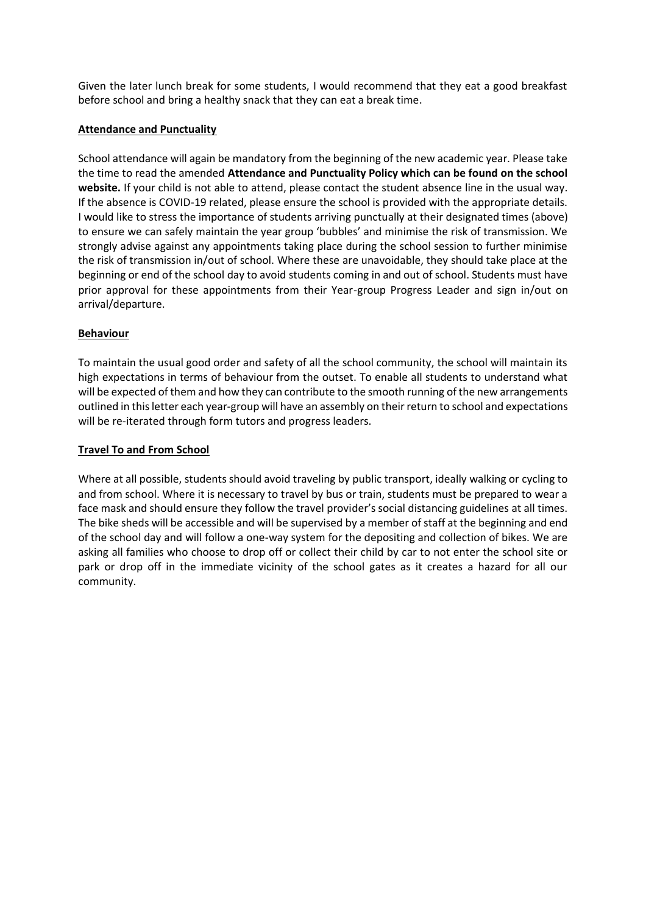Given the later lunch break for some students, I would recommend that they eat a good breakfast before school and bring a healthy snack that they can eat a break time.

# **Attendance and Punctuality**

School attendance will again be mandatory from the beginning of the new academic year. Please take the time to read the amended **Attendance and Punctuality Policy which can be found on the school website.** If your child is not able to attend, please contact the student absence line in the usual way. If the absence is COVID-19 related, please ensure the school is provided with the appropriate details. I would like to stress the importance of students arriving punctually at their designated times (above) to ensure we can safely maintain the year group 'bubbles' and minimise the risk of transmission. We strongly advise against any appointments taking place during the school session to further minimise the risk of transmission in/out of school. Where these are unavoidable, they should take place at the beginning or end of the school day to avoid students coming in and out of school. Students must have prior approval for these appointments from their Year-group Progress Leader and sign in/out on arrival/departure.

# **Behaviour**

To maintain the usual good order and safety of all the school community, the school will maintain its high expectations in terms of behaviour from the outset. To enable all students to understand what will be expected of them and how they can contribute to the smooth running of the new arrangements outlined in this letter each year-group will have an assembly on their return to school and expectations will be re-iterated through form tutors and progress leaders.

# **Travel To and From School**

Where at all possible, students should avoid traveling by public transport, ideally walking or cycling to and from school. Where it is necessary to travel by bus or train, students must be prepared to wear a face mask and should ensure they follow the travel provider's social distancing guidelines at all times. The bike sheds will be accessible and will be supervised by a member of staff at the beginning and end of the school day and will follow a one-way system for the depositing and collection of bikes. We are asking all families who choose to drop off or collect their child by car to not enter the school site or park or drop off in the immediate vicinity of the school gates as it creates a hazard for all our community.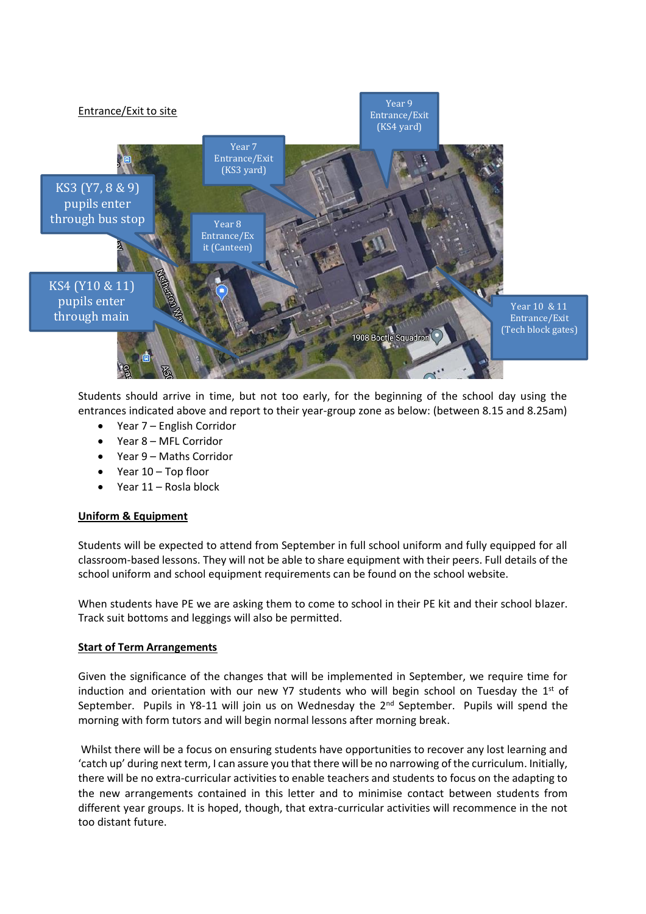

Students should arrive in time, but not too early, for the beginning of the school day using the entrances indicated above and report to their year-group zone as below: (between 8.15 and 8.25am)

- Year 7 English Corridor
- Year 8 MFL Corridor
- Year 9 Maths Corridor
- Year 10 Top floor
- Year 11 Rosla block

#### **Uniform & Equipment**

Students will be expected to attend from September in full school uniform and fully equipped for all classroom-based lessons. They will not be able to share equipment with their peers. Full details of the school uniform and school equipment requirements can be found on the school website.

When students have PE we are asking them to come to school in their PE kit and their school blazer. Track suit bottoms and leggings will also be permitted.

#### **Start of Term Arrangements**

Given the significance of the changes that will be implemented in September, we require time for induction and orientation with our new Y7 students who will begin school on Tuesday the 1st of September. Pupils in Y8-11 will join us on Wednesday the 2<sup>nd</sup> September. Pupils will spend the morning with form tutors and will begin normal lessons after morning break.

Whilst there will be a focus on ensuring students have opportunities to recover any lost learning and 'catch up' during next term, I can assure you that there will be no narrowing of the curriculum. Initially, there will be no extra-curricular activities to enable teachers and students to focus on the adapting to the new arrangements contained in this letter and to minimise contact between students from different year groups. It is hoped, though, that extra-curricular activities will recommence in the not too distant future.